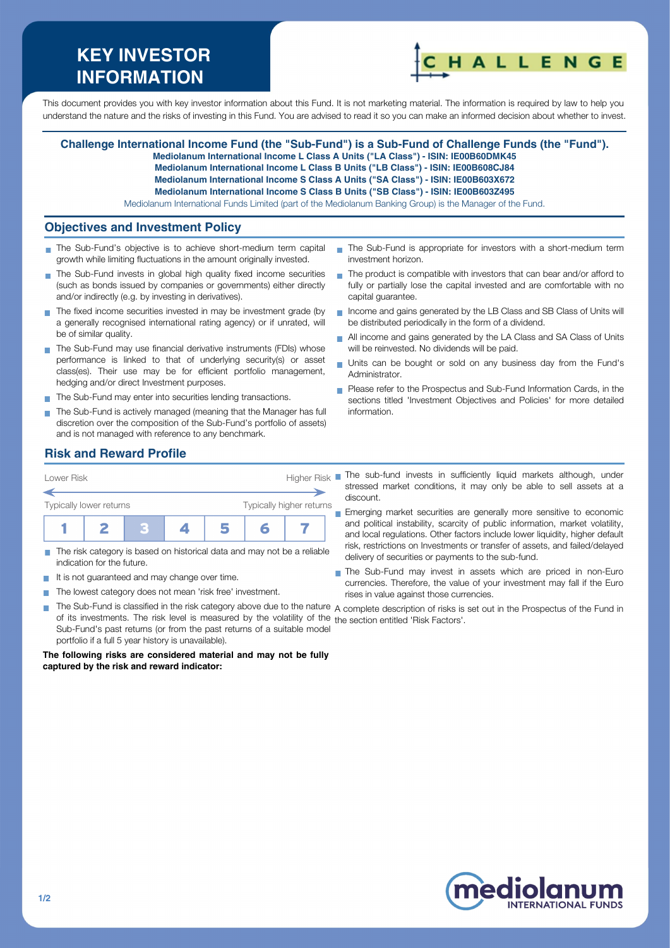# **KEY INVESTOR INFORMATION**



This document provides you with key investor information about this Fund. It is not marketing material. The information is required by law to help you understand the nature and the risks of investing in this Fund. You are advised to read it so you can make an informed decision about whether to invest.

# **Challenge International Income Fund (the "Sub-Fund") is a Sub-Fund of Challenge Funds (the "Fund").**

**Mediolanum International Income L Class A Units ("LA Class") - ISIN: IE00B60DMK45 Mediolanum International Income L Class B Units ("LB Class") - ISIN: IE00B608CJ84**

**Mediolanum International Income S Class A Units ("SA Class") - ISIN: IE00B603X672**

**Mediolanum International Income S Class B Units ("SB Class") - ISIN: IE00B603Z495**

Mediolanum International Funds Limited (part of the Mediolanum Banking Group) is the Manager of the Fund.

## **Objectives and Investment Policy**

- The Sub-Fund's objective is to achieve short-medium term capital growth while limiting fluctuations in the amount originally invested.
- The Sub-Fund invests in global high quality fixed income securities (such as bonds issued by companies or governments) either directly and/or indirectly (e.g. by investing in derivatives).
- The fixed income securities invested in may be investment grade (by a generally recognised international rating agency) or if unrated, will be of similar quality.
- The Sub-Fund may use financial derivative instruments (FDIs) whose performance is linked to that of underlying security(s) or asset class(es). Their use may be for efficient portfolio management, hedging and/or direct Investment purposes.
- The Sub-Fund may enter into securities lending transactions.
- The Sub-Fund is actively managed (meaning that the Manager has full discretion over the composition of the Sub-Fund's portfolio of assets) and is not managed with reference to any benchmark.
- The Sub-Fund is appropriate for investors with a short-medium term investment horizon.
- $\blacksquare$  The product is compatible with investors that can bear and/or afford to fully or partially lose the capital invested and are comfortable with no capital guarantee.
- Income and gains generated by the LB Class and SB Class of Units will be distributed periodically in the form of a dividend.
- All income and gains generated by the LA Class and SA Class of Units will be reinvested. No dividends will be paid.
- Units can be bought or sold on any business day from the Fund's Administrator.
- Please refer to the Prospectus and Sub-Fund Information Cards, in the sections titled 'Investment Objectives and Policies' for more detailed information.

# **Risk and Reward Profile**

| Typically higher returns | Lower Risk              |  |  |  | <b>Higher Risk</b> |  |  |  |
|--------------------------|-------------------------|--|--|--|--------------------|--|--|--|
|                          |                         |  |  |  |                    |  |  |  |
|                          | Typically lower returns |  |  |  |                    |  |  |  |
|                          |                         |  |  |  |                    |  |  |  |

- The risk category is based on historical data and may not be a reliable  $\overline{\phantom{a}}$ indication for the future.
- $\blacksquare$  It is not guaranteed and may change over time.
- The lowest category does not mean 'risk free' investment.  $\sim$
- stressed market conditions, it may only be able to sell assets at a discount. **Emerging market securities are generally more sensitive to economic**

The sub-fund invests in sufficiently liquid markets although, under

- and political instability, scarcity of public information, market volatility, and local regulations. Other factors include lower liquidity, higher default risk, restrictions on Investments or transfer of assets, and failed/delayed delivery of securities or payments to the sub-fund.
- The Sub-Fund may invest in assets which are priced in non-Euro currencies. Therefore, the value of your investment may fall if the Euro rises in value against those currencies.
- × The Sub-Fund is classified in the risk category above due to the nature A complete description of risks is set out in the Prospectus of the Fund in of its investments. The risk level is measured by the volatility of the the section entitled 'Risk Factors'.Sub-Fund's past returns (or from the past returns of a suitable model portfolio if a full 5 year history is unavailable).

#### **The following risks are considered material and may not be fully captured by the risk and reward indicator:**